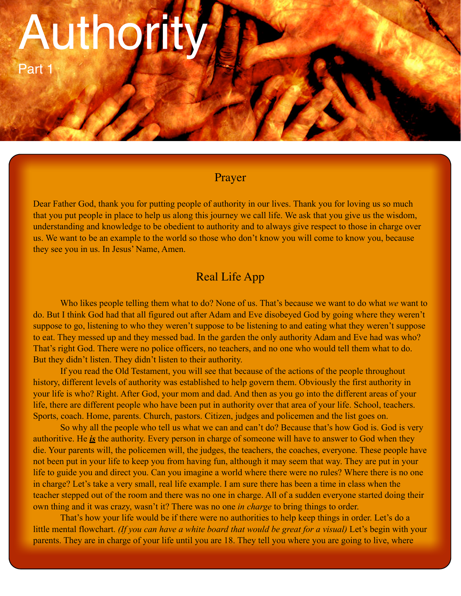# Authority

Part 1

# Prayer

Dear Father God, thank you for putting people of authority in our lives. Thank you for loving us so much that you put people in place to help us along this journey we call life. We ask that you give us the wisdom, understanding and knowledge to be obedient to authority and to always give respect to those in charge over us. We want to be an example to the world so those who don't know you will come to know you, because they see you in us. In Jesus' Name, Amen.

# Real Life App

Who likes people telling them what to do? None of us. That's because we want to do what *we* want to do. But I think God had that all figured out after Adam and Eve disobeyed God by going where they weren't suppose to go, listening to who they weren't suppose to be listening to and eating what they weren't suppose to eat. They messed up and they messed bad. In the garden the only authority Adam and Eve had was who? That's right God. There were no police officers, no teachers, and no one who would tell them what to do. But they didn't listen. They didn't listen to their authority.

If you read the Old Testament, you will see that because of the actions of the people throughout history, different levels of authority was established to help govern them. Obviously the first authority in your life is who? Right. After God, your mom and dad. And then as you go into the different areas of your life, there are different people who have been put in authority over that area of your life. School, teachers. Sports, coach. Home, parents. Church, pastors. Citizen, judges and policemen and the list goes on.

So why all the people who tell us what we can and can't do? Because that's how God is. God is very authoritive. He *is* the authority. Every person in charge of someone will have to answer to God when they die. Your parents will, the policemen will, the judges, the teachers, the coaches, everyone. These people have not been put in your life to keep you from having fun, although it may seem that way. They are put in your life to guide you and direct you. Can you imagine a world where there were no rules? Where there is no one in charge? Let's take a very small, real life example. I am sure there has been a time in class when the teacher stepped out of the room and there was no one in charge. All of a sudden everyone started doing their own thing and it was crazy, wasn't it? There was no one *in charge* to bring things to order.

That's how your life would be if there were no authorities to help keep things in order. Let's do a little mental flowchart. *(If you can have a white board that would be great for a visual)* Let's begin with your parents. They are in charge of your life until you are 18. They tell you where you are going to live, where